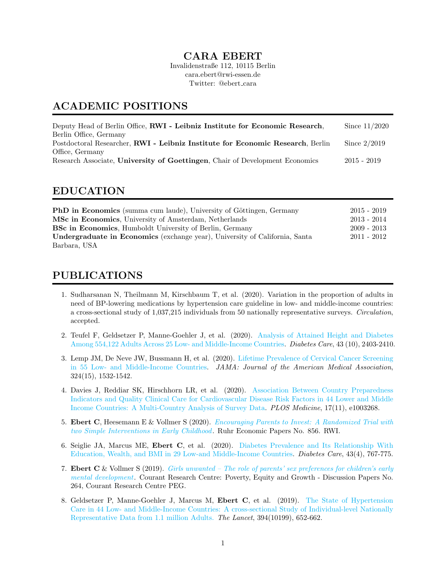#### CARA EBERT

Invalidenstraße 112, 10115 Berlin cara.ebert@rwi-essen.de Twitter: @ebert\_cara

### ACADEMIC POSITIONS

| Since $11/2020$ |
|-----------------|
|                 |
| Since $2/2019$  |
|                 |
| $2015 - 2019$   |
|                 |

#### EDUCATION

| <b>PhD</b> in Economics (summa cum laude), University of Göttingen, Germany | $2015 - 2019$ |
|-----------------------------------------------------------------------------|---------------|
| MSc in Economics, University of Amsterdam, Netherlands                      | $2013 - 2014$ |
| <b>BSc in Economics</b> , Humboldt University of Berlin, Germany            | $2009 - 2013$ |
| Undergraduate in Economics (exchange year), University of California, Santa | $2011 - 2012$ |
| Barbara, USA                                                                |               |

## PUBLICATIONS

- 1. Sudharsanan N, Theilmann M, Kirschbaum T, et al. (2020). Variation in the proportion of adults in need of BP-lowering medications by hypertension care guideline in low- and middle-income countries: a cross-sectional study of 1,037,215 individuals from 50 nationally representative surveys. Circulation, accepted.
- 2. Teufel F, Geldsetzer P, Manne-Goehler J, et al. (2020). [Analysis of Attained Height and Diabetes](https://doi.org/10.2337/dc20-0019) [Among 554,122 Adults Across 25 Low- and Middle-Income Countries.](https://doi.org/10.2337/dc20-0019) Diabetes Care, 43 (10), 2403-2410.
- 3. Lemp JM, De Neve JW, Bussmann H, et al. (2020). [Lifetime Prevalence of Cervical Cancer Screening](https://jamanetwork.com/journals/jama/article-abstract/2771901) [in 55 Low- and Middle-Income Countries.](https://jamanetwork.com/journals/jama/article-abstract/2771901) JAMA: Journal of the American Medical Association, 324(15), 1532-1542.
- 4. Davies J, Reddiar SK, Hirschhorn LR, et al. (2020). [Association Between Country Preparedness](https://doi.org/10.1371/journal.pmed.1003268) [Indicators and Quality Clinical Care for Cardiovascular Disease Risk Factors in 44 Lower and Middle](https://doi.org/10.1371/journal.pmed.1003268) [Income Countries: A Multi-Country Analysis of Survey Data.](https://doi.org/10.1371/journal.pmed.1003268) PLOS Medicine, 17(11), e1003268.
- 5. Ebert C, Heesemann E & Vollmer S (2020). [Encouraging Parents to Invest: A Randomized Trial with](https://www.rwi-essen.de/media/content/pages/publikationen/ruhr-economic-papers/rep_20_856.pdf) [two Simple Interventions in Early Childhood](https://www.rwi-essen.de/media/content/pages/publikationen/ruhr-economic-papers/rep_20_856.pdf). Ruhr Economic Papers No. 856. RWI.
- 6. Seiglie JA, Marcus ME, Ebert C, et al. (2020). [Diabetes Prevalence and Its Relationship With](https://care.diabetesjournals.org/content/43/4/767.long) [Education, Wealth, and BMI in 29 Low-and Middle-Income Countries.](https://care.diabetesjournals.org/content/43/4/767.long) Diabetes Care, 43(4), 767-775.
- 7. Ebert C & Vollmer S (2019). [Girls unwanted The role of parents' sex preferences for children's early](https://www.uni-goettingen.de/de/document/download/bd87f98cba0ea9056958d1114a08c4f3-en.pdf/CRC-PEG_DP_264.pdf) [mental development](https://www.uni-goettingen.de/de/document/download/bd87f98cba0ea9056958d1114a08c4f3-en.pdf/CRC-PEG_DP_264.pdf). Courant Research Centre: Poverty, Equity and Growth - Discussion Papers No. 264, Courant Research Centre PEG.
- 8. Geldsetzer P, Manne-Goehler J, Marcus M, Ebert C, et al. (2019). [The State of Hypertension](https://www.thelancet.com/journals/lancet/article/PIIS0140-6736(19)30955-9/fulltext) [Care in 44 Low- and Middle-Income Countries: A cross-sectional Study of Individual-level Nationally](https://www.thelancet.com/journals/lancet/article/PIIS0140-6736(19)30955-9/fulltext) [Representative Data from 1.1 million Adults.](https://www.thelancet.com/journals/lancet/article/PIIS0140-6736(19)30955-9/fulltext) The Lancet, 394(10199), 652-662.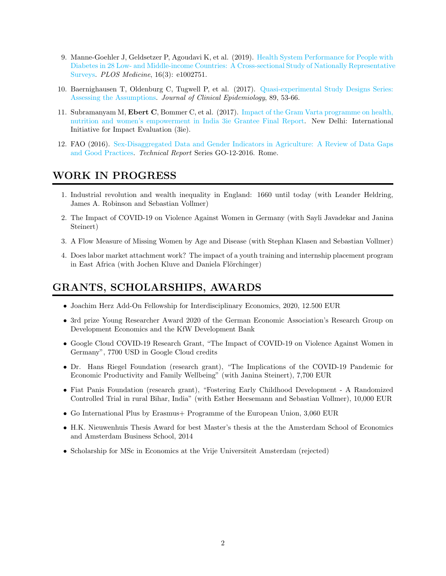- 9. Manne-Goehler J, Geldsetzer P, Agoudavi K, et al. (2019). [Health System Performance for People with](https://journals.plos.org/plosmedicine/article?id=10.1371/journal.pmed.1002751) [Diabetes in 28 Low- and Middle-income Countries: A Cross-sectional Study of Nationally Representative](https://journals.plos.org/plosmedicine/article?id=10.1371/journal.pmed.1002751) [Surveys.](https://journals.plos.org/plosmedicine/article?id=10.1371/journal.pmed.1002751) PLOS Medicine, 16(3): e1002751.
- 10. Baernighausen T, Oldenburg C, Tugwell P, et al. (2017). [Quasi-experimental Study Designs Series:](https://www.jclinepi.com/article/S0895-4356(17)30298-6/fulltext) [Assessing the Assumptions.](https://www.jclinepi.com/article/S0895-4356(17)30298-6/fulltext) Journal of Clinical Epidemiology, 89, 53-66.
- 11. Subramanyam M, Ebert C, Bommer C, et al. (2017). [Impact of the Gram Varta programme on health,](https://www.3ieimpact.org/sites/default/files/2018-08/Grantee%20Final%20Report%20CPW.01.pdf) [nutrition and women's empowerment in India 3ie Grantee Final Report.](https://www.3ieimpact.org/sites/default/files/2018-08/Grantee%20Final%20Report%20CPW.01.pdf) New Delhi: International Initiative for Impact Evaluation (3ie).
- 12. FAO (2016). [Sex-Disaggregated Data and Gender Indicators in Agriculture: A Review of Data Gaps](http://gsars.org/wp-content/uploads/2016/05/TR_Sex-Disaggregated-Data-and-Gender-Indicators-in-Agriculture_120516.pdf) [and Good Practices.](http://gsars.org/wp-content/uploads/2016/05/TR_Sex-Disaggregated-Data-and-Gender-Indicators-in-Agriculture_120516.pdf) Technical Report Series GO-12-2016. Rome.

### WORK IN PROGRESS

- 1. Industrial revolution and wealth inequality in England: 1660 until today (with Leander Heldring, James A. Robinson and Sebastian Vollmer)
- 2. The Impact of COVID-19 on Violence Against Women in Germany (with Sayli Javadekar and Janina Steinert)
- 3. A Flow Measure of Missing Women by Age and Disease (with Stephan Klasen and Sebastian Vollmer)
- 4. Does labor market attachment work? The impact of a youth training and internship placement program in East Africa (with Jochen Kluve and Daniela Flörchinger)

# GRANTS, SCHOLARSHIPS, AWARDS

- Joachim Herz Add-On Fellowship for Interdisciplinary Economics, 2020, 12.500 EUR
- 3rd prize Young Researcher Award 2020 of the German Economic Association's Research Group on Development Economics and the KfW Development Bank
- Google Cloud COVID-19 Research Grant, "The Impact of COVID-19 on Violence Against Women in Germany", 7700 USD in Google Cloud credits
- Dr. Hans Riegel Foundation (research grant), "The Implications of the COVID-19 Pandemic for Economic Productivity and Family Wellbeing" (with Janina Steinert), 7,700 EUR
- Fiat Panis Foundation (research grant), "Fostering Early Childhood Development A Randomized Controlled Trial in rural Bihar, India" (with Esther Heesemann and Sebastian Vollmer), 10,000 EUR
- Go International Plus by Erasmus+ Programme of the European Union, 3,060 EUR
- H.K. Nieuwenhuis Thesis Award for best Master's thesis at the the Amsterdam School of Economics and Amsterdam Business School, 2014
- Scholarship for MSc in Economics at the Vrije Universiteit Amsterdam (rejected)